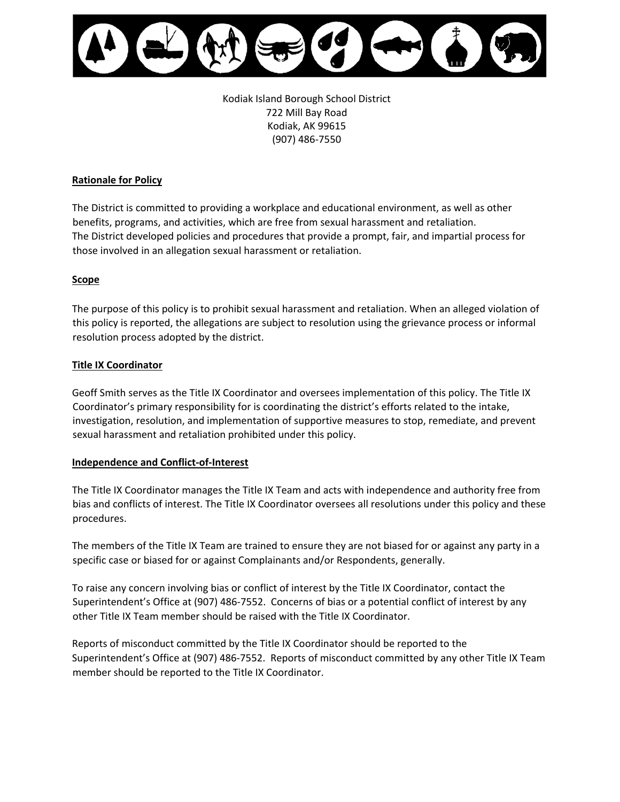

Kodiak Island Borough School District 722 Mill Bay Road Kodiak, AK 99615 (907) 486-7550

### **Rationale for Policy**

The District is committed to providing a workplace and educational environment, as well as other benefits, programs, and activities, which are free from sexual harassment and retaliation. The District developed policies and procedures that provide a prompt, fair, and impartial process for those involved in an allegation sexual harassment or retaliation.

### **Scope**

The purpose of this policy is to prohibit sexual harassment and retaliation. When an alleged violation of this policy is reported, the allegations are subject to resolution using the grievance process or informal resolution process adopted by the district.

### **Title IX Coordinator**

Geoff Smith serves as the Title IX Coordinator and oversees implementation of this policy. The Title IX Coordinator's primary responsibility for is coordinating the district's efforts related to the intake, investigation, resolution, and implementation of supportive measures to stop, remediate, and prevent sexual harassment and retaliation prohibited under this policy.

#### **Independence and Conflict-of-Interest**

The Title IX Coordinator manages the Title IX Team and acts with independence and authority free from bias and conflicts of interest. The Title IX Coordinator oversees all resolutions under this policy and these procedures.

The members of the Title IX Team are trained to ensure they are not biased for or against any party in a specific case or biased for or against Complainants and/or Respondents, generally.

To raise any concern involving bias or conflict of interest by the Title IX Coordinator, contact the Superintendent's Office at (907) 486-7552. Concerns of bias or a potential conflict of interest by any other Title IX Team member should be raised with the Title IX Coordinator.

Reports of misconduct committed by the Title IX Coordinator should be reported to the Superintendent's Office at (907) 486-7552. Reports of misconduct committed by any other Title IX Team member should be reported to the Title IX Coordinator.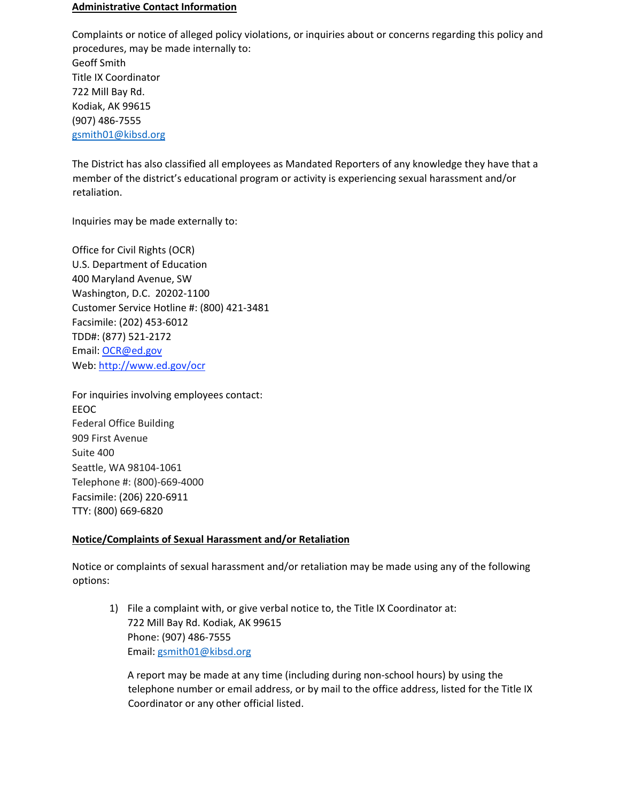#### **Administrative Contact Information**

Complaints or notice of alleged policy violations, or inquiries about or concerns regarding this policy and procedures, may be made internally to: Geoff Smith Title IX Coordinator 722 Mill Bay Rd. Kodiak, AK 99615 (907) 486-7555 [gsmith01@kibsd.org](mailto:gsmith01@kibsd.org)

The District has also classified all employees as Mandated Reporters of any knowledge they have that a member of the district's educational program or activity is experiencing sexual harassment and/or retaliation.

Inquiries may be made externally to:

Office for Civil Rights (OCR) U.S. Department of Education 400 Maryland Avenue, SW Washington, D.C. 20202-1100 Customer Service Hotline #: (800) 421-3481 Facsimile: (202) 453-6012 TDD#: (877) 521-2172 Email: OCR@ed.gov Web: http://www.ed.gov/ocr

For inquiries involving employees contact: EEOC Federal Office Building 909 First Avenue Suite 400 Seattle, WA 98104-1061 Telephone #: (800)-669-4000 Facsimile: (206) 220-6911 TTY: (800) 669-6820

## **Notice/Complaints of Sexual Harassment and/or Retaliation**

Notice or complaints of sexual harassment and/or retaliation may be made using any of the following options:

1) File a complaint with, or give verbal notice to, the Title IX Coordinator at: 722 Mill Bay Rd. Kodiak, AK 99615 Phone: (907) 486-7555 Email: [gsmith01@kibsd.org](mailto:gsmith01@kibsd.org) 

A report may be made at any time (including during non-school hours) by using the telephone number or email address, or by mail to the office address, listed for the Title IX Coordinator or any other official listed.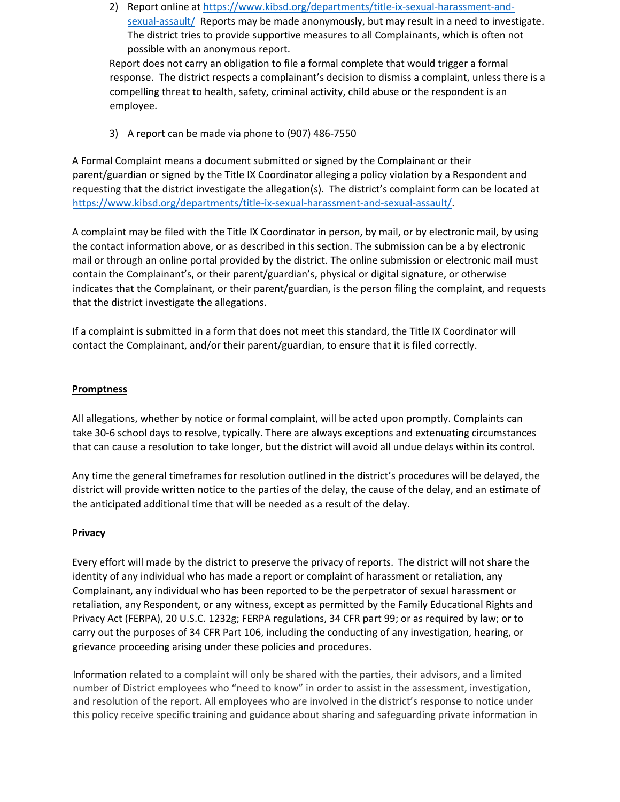2) Report online at [https://www.kibsd.org/departments/title-ix-sexual-harassment-and](https://www.kibsd.org/departments/title-ix-sexual-harassment-and-sexual-assault/)[sexual-assault/](https://www.kibsd.org/departments/title-ix-sexual-harassment-and-sexual-assault/) Reports may be made anonymously, but may result in a need to investigate. The district tries to provide supportive measures to all Complainants, which is often not possible with an anonymous report.

Report does not carry an obligation to file a formal complete that would trigger a formal response. The district respects a complainant's decision to dismiss a complaint, unless there is a compelling threat to health, safety, criminal activity, child abuse or the respondent is an employee.

3) A report can be made via phone to (907) 486-7550

A Formal Complaint means a document submitted or signed by the Complainant or their parent/guardian or signed by the Title IX Coordinator alleging a policy violation by a Respondent and requesting that the district investigate the allegation(s). The district's complaint form can be located at [https://www.kibsd.org/departments/title-ix-sexual-harassment-and-sexual-assault/.](https://www.kibsd.org/departments/title-ix-sexual-harassment-and-sexual-assault/)

A complaint may be filed with the Title IX Coordinator in person, by mail, or by electronic mail, by using the contact information above, or as described in this section. The submission can be a by electronic mail or through an online portal provided by the district. The online submission or electronic mail must contain the Complainant's, or their parent/guardian's, physical or digital signature, or otherwise indicates that the Complainant, or their parent/guardian, is the person filing the complaint, and requests that the district investigate the allegations.

If a complaint is submitted in a form that does not meet this standard, the Title IX Coordinator will contact the Complainant, and/or their parent/guardian, to ensure that it is filed correctly.

## **Promptness**

All allegations, whether by notice or formal complaint, will be acted upon promptly. Complaints can take 30-6 school days to resolve, typically. There are always exceptions and extenuating circumstances that can cause a resolution to take longer, but the district will avoid all undue delays within its control.

Any time the general timeframes for resolution outlined in the district's procedures will be delayed, the district will provide written notice to the parties of the delay, the cause of the delay, and an estimate of the anticipated additional time that will be needed as a result of the delay.

## **Privacy**

Every effort will made by the district to preserve the privacy of reports. The district will not share the identity of any individual who has made a report or complaint of harassment or retaliation, any Complainant, any individual who has been reported to be the perpetrator of sexual harassment or retaliation, any Respondent, or any witness, except as permitted by the Family Educational Rights and Privacy Act (FERPA), 20 U.S.C. 1232g; FERPA regulations, 34 CFR part 99; or as required by law; or to carry out the purposes of 34 CFR Part 106, including the conducting of any investigation, hearing, or grievance proceeding arising under these policies and procedures.

Information related to a complaint will only be shared with the parties, their advisors, and a limited number of District employees who "need to know" in order to assist in the assessment, investigation, and resolution of the report. All employees who are involved in the district's response to notice under this policy receive specific training and guidance about sharing and safeguarding private information in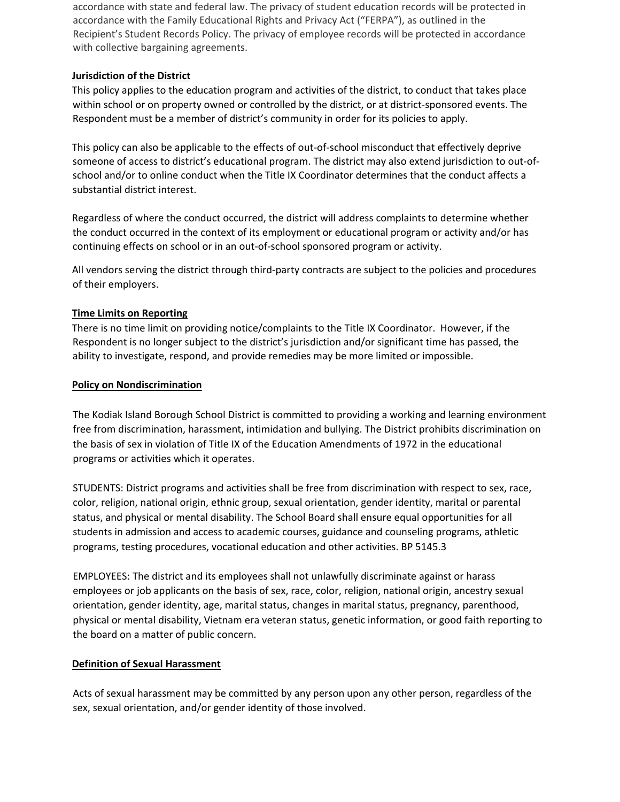accordance with state and federal law. The privacy of student education records will be protected in accordance with the Family Educational Rights and Privacy Act ("FERPA"), as outlined in the Recipient's Student Records Policy. The privacy of employee records will be protected in accordance with collective bargaining agreements.

## **Jurisdiction of the District**

This policy applies to the education program and activities of the district, to conduct that takes place within school or on property owned or controlled by the district, or at district-sponsored events. The Respondent must be a member of district's community in order for its policies to apply.

This policy can also be applicable to the effects of out-of-school misconduct that effectively deprive someone of access to district's educational program. The district may also extend jurisdiction to out-ofschool and/or to online conduct when the Title IX Coordinator determines that the conduct affects a substantial district interest.

Regardless of where the conduct occurred, the district will address complaints to determine whether the conduct occurred in the context of its employment or educational program or activity and/or has continuing effects on school or in an out-of-school sponsored program or activity.

All vendors serving the district through third-party contracts are subject to the policies and procedures of their employers.

## **Time Limits on Reporting**

There is no time limit on providing notice/complaints to the Title IX Coordinator. However, if the Respondent is no longer subject to the district's jurisdiction and/or significant time has passed, the ability to investigate, respond, and provide remedies may be more limited or impossible.

## **Policy on Nondiscrimination**

The Kodiak Island Borough School District is committed to providing a working and learning environment free from discrimination, harassment, intimidation and bullying. The District prohibits discrimination on the basis of sex in violation of Title IX of the Education Amendments of 1972 in the educational programs or activities which it operates.

STUDENTS: District programs and activities shall be free from discrimination with respect to sex, race, color, religion, national origin, ethnic group, sexual orientation, gender identity, marital or parental status, and physical or mental disability. The School Board shall ensure equal opportunities for all students in admission and access to academic courses, guidance and counseling programs, athletic programs, testing procedures, vocational education and other activities. BP 5145.3

EMPLOYEES: The district and its employees shall not unlawfully discriminate against or harass employees or job applicants on the basis of sex, race, color, religion, national origin, ancestry sexual orientation, gender identity, age, marital status, changes in marital status, pregnancy, parenthood, physical or mental disability, Vietnam era veteran status, genetic information, or good faith reporting to the board on a matter of public concern.

# **Definition of Sexual Harassment**

Acts of sexual harassment may be committed by any person upon any other person, regardless of the sex, sexual orientation, and/or gender identity of those involved.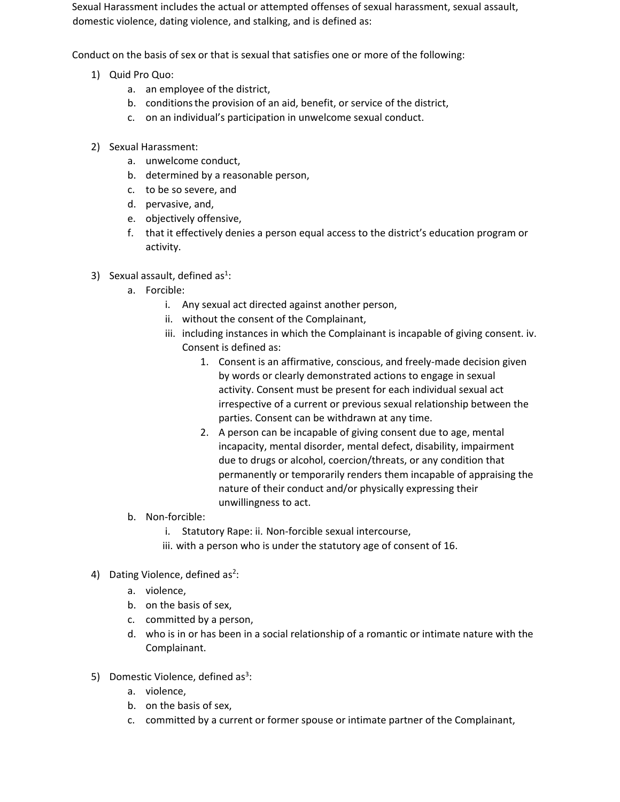Sexual Harassment includes the actual or attempted offenses of sexual harassment, sexual assault, domestic violence, dating violence, and stalking, and is defined as:

Conduct on the basis of sex or that is sexual that satisfies one or more of the following:

- 1) Quid Pro Quo:
	- a. an employee of the district,
	- b. conditionsthe provision of an aid, benefit, or service of the district,
	- c. on an individual's participation in unwelcome sexual conduct.
- 2) Sexual Harassment:
	- a. unwelcome conduct,
	- b. determined by a reasonable person,
	- c. to be so severe, and
	- d. pervasive, and,
	- e. objectively offensive,
	- f. that it effectively denies a person equal access to the district's education program or activity.
- 3) Sexual assault, defined as<sup>1</sup>:
	- a. Forcible:
		- i. Any sexual act directed against another person,
		- ii. without the consent of the Complainant,
		- iii. including instances in which the Complainant is incapable of giving consent. iv. Consent is defined as:
			- 1. Consent is an affirmative, conscious, and freely-made decision given by words or clearly demonstrated actions to engage in sexual activity. Consent must be present for each individual sexual act irrespective of a current or previous sexual relationship between the parties. Consent can be withdrawn at any time.
			- 2. A person can be incapable of giving consent due to age, mental incapacity, mental disorder, mental defect, disability, impairment due to drugs or alcohol, coercion/threats, or any condition that permanently or temporarily renders them incapable of appraising the nature of their conduct and/or physically expressing their unwillingness to act.
	- b. Non-forcible:
		- i. Statutory Rape: ii. Non-forcible sexual intercourse,
		- iii. with a person who is under the statutory age of consent of 16.
- 4) Dating Violence, defined  $as^2$ :
	- a. violence,
	- b. on the basis of sex,
	- c. committed by a person,
	- d. who is in or has been in a social relationship of a romantic or intimate nature with the Complainant.
- 5) Domestic Violence, defined as<sup>3</sup>:
	- a. violence,
	- b. on the basis of sex,
	- c. committed by a current or former spouse or intimate partner of the Complainant,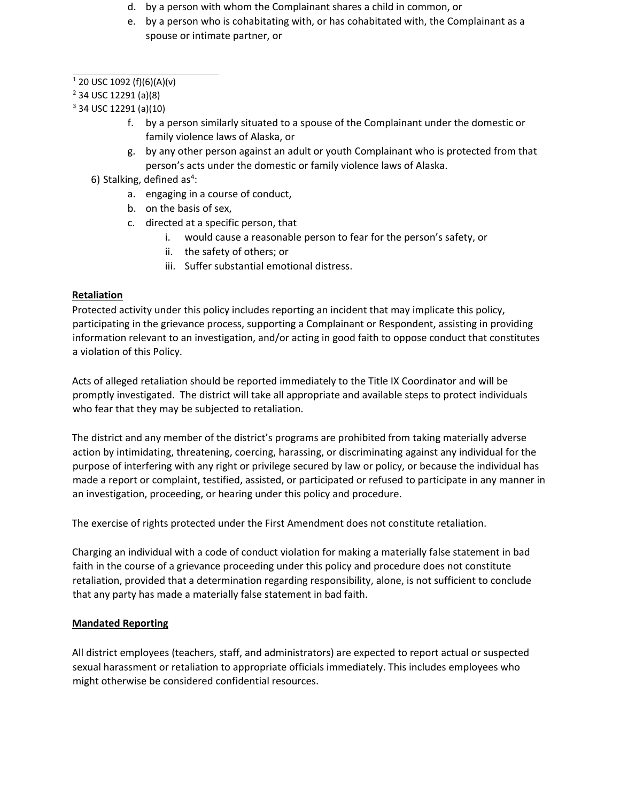- d. by a person with whom the Complainant shares a child in common, or
- e. by a person who is cohabitating with, or has cohabitated with, the Complainant as a spouse or intimate partner, or

 $1$  20 USC 1092 (f)(6)(A)(v)

<sup>2</sup> 34 USC 12291 (a)(8)

<sup>3</sup> 34 USC 12291 (a)(10)

- f. by a person similarly situated to a spouse of the Complainant under the domestic or family violence laws of Alaska, or
- g. by any other person against an adult or youth Complainant who is protected from that person's acts under the domestic or family violence laws of Alaska.
- 6) Stalking, defined as<sup>4</sup>:
	- a. engaging in a course of conduct,
	- b. on the basis of sex,
	- c. directed at a specific person, that
		- i. would cause a reasonable person to fear for the person's safety, or
		- ii. the safety of others; or
		- iii. Suffer substantial emotional distress.

# **Retaliation**

Protected activity under this policy includes reporting an incident that may implicate this policy, participating in the grievance process, supporting a Complainant or Respondent, assisting in providing information relevant to an investigation, and/or acting in good faith to oppose conduct that constitutes a violation of this Policy.

Acts of alleged retaliation should be reported immediately to the Title IX Coordinator and will be promptly investigated. The district will take all appropriate and available steps to protect individuals who fear that they may be subjected to retaliation.

The district and any member of the district's programs are prohibited from taking materially adverse action by intimidating, threatening, coercing, harassing, or discriminating against any individual for the purpose of interfering with any right or privilege secured by law or policy, or because the individual has made a report or complaint, testified, assisted, or participated or refused to participate in any manner in an investigation, proceeding, or hearing under this policy and procedure.

The exercise of rights protected under the First Amendment does not constitute retaliation.

Charging an individual with a code of conduct violation for making a materially false statement in bad faith in the course of a grievance proceeding under this policy and procedure does not constitute retaliation, provided that a determination regarding responsibility, alone, is not sufficient to conclude that any party has made a materially false statement in bad faith.

# **Mandated Reporting**

All district employees (teachers, staff, and administrators) are expected to report actual or suspected sexual harassment or retaliation to appropriate officials immediately. This includes employees who might otherwise be considered confidential resources.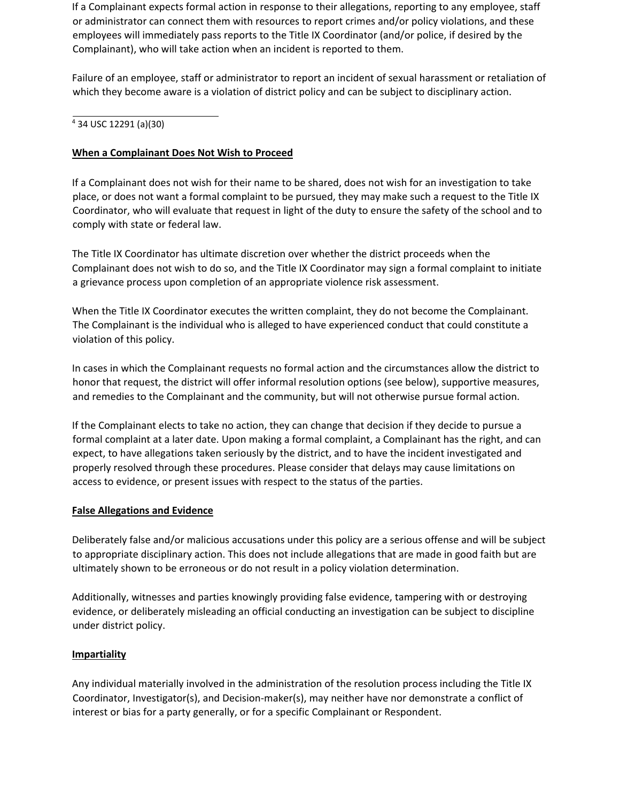If a Complainant expects formal action in response to their allegations, reporting to any employee, staff or administrator can connect them with resources to report crimes and/or policy violations, and these employees will immediately pass reports to the Title IX Coordinator (and/or police, if desired by the Complainant), who will take action when an incident is reported to them.

Failure of an employee, staff or administrator to report an incident of sexual harassment or retaliation of which they become aware is a violation of district policy and can be subject to disciplinary action.

### 4 34 USC 12291 (a)(30)

## **When a Complainant Does Not Wish to Proceed**

If a Complainant does not wish for their name to be shared, does not wish for an investigation to take place, or does not want a formal complaint to be pursued, they may make such a request to the Title IX Coordinator, who will evaluate that request in light of the duty to ensure the safety of the school and to comply with state or federal law.

The Title IX Coordinator has ultimate discretion over whether the district proceeds when the Complainant does not wish to do so, and the Title IX Coordinator may sign a formal complaint to initiate a grievance process upon completion of an appropriate violence risk assessment.

When the Title IX Coordinator executes the written complaint, they do not become the Complainant. The Complainant is the individual who is alleged to have experienced conduct that could constitute a violation of this policy.

In cases in which the Complainant requests no formal action and the circumstances allow the district to honor that request, the district will offer informal resolution options (see below), supportive measures, and remedies to the Complainant and the community, but will not otherwise pursue formal action.

If the Complainant elects to take no action, they can change that decision if they decide to pursue a formal complaint at a later date. Upon making a formal complaint, a Complainant has the right, and can expect, to have allegations taken seriously by the district, and to have the incident investigated and properly resolved through these procedures. Please consider that delays may cause limitations on access to evidence, or present issues with respect to the status of the parties.

## **False Allegations and Evidence**

Deliberately false and/or malicious accusations under this policy are a serious offense and will be subject to appropriate disciplinary action. This does not include allegations that are made in good faith but are ultimately shown to be erroneous or do not result in a policy violation determination.

Additionally, witnesses and parties knowingly providing false evidence, tampering with or destroying evidence, or deliberately misleading an official conducting an investigation can be subject to discipline under district policy.

## **Impartiality**

Any individual materially involved in the administration of the resolution process including the Title IX Coordinator, Investigator(s), and Decision-maker(s), may neither have nor demonstrate a conflict of interest or bias for a party generally, or for a specific Complainant or Respondent.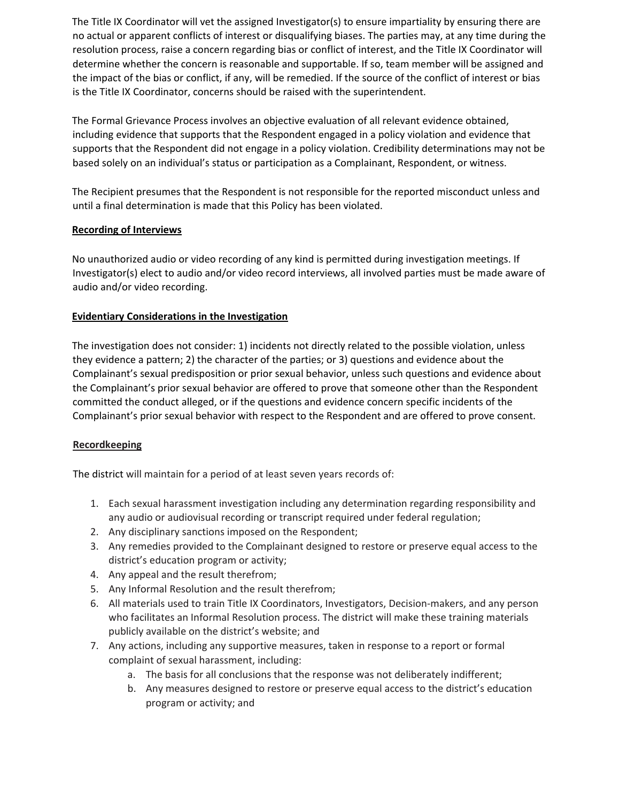The Title IX Coordinator will vet the assigned Investigator(s) to ensure impartiality by ensuring there are no actual or apparent conflicts of interest or disqualifying biases. The parties may, at any time during the resolution process, raise a concern regarding bias or conflict of interest, and the Title IX Coordinator will determine whether the concern is reasonable and supportable. If so, team member will be assigned and the impact of the bias or conflict, if any, will be remedied. If the source of the conflict of interest or bias is the Title IX Coordinator, concerns should be raised with the superintendent.

The Formal Grievance Process involves an objective evaluation of all relevant evidence obtained, including evidence that supports that the Respondent engaged in a policy violation and evidence that supports that the Respondent did not engage in a policy violation. Credibility determinations may not be based solely on an individual's status or participation as a Complainant, Respondent, or witness.

The Recipient presumes that the Respondent is not responsible for the reported misconduct unless and until a final determination is made that this Policy has been violated.

## **Recording of Interviews**

No unauthorized audio or video recording of any kind is permitted during investigation meetings. If Investigator(s) elect to audio and/or video record interviews, all involved parties must be made aware of audio and/or video recording.

# **Evidentiary Considerations in the Investigation**

The investigation does not consider: 1) incidents not directly related to the possible violation, unless they evidence a pattern; 2) the character of the parties; or 3) questions and evidence about the Complainant's sexual predisposition or prior sexual behavior, unless such questions and evidence about the Complainant's prior sexual behavior are offered to prove that someone other than the Respondent committed the conduct alleged, or if the questions and evidence concern specific incidents of the Complainant's prior sexual behavior with respect to the Respondent and are offered to prove consent.

# **Recordkeeping**

The district will maintain for a period of at least seven years records of:

- 1. Each sexual harassment investigation including any determination regarding responsibility and any audio or audiovisual recording or transcript required under federal regulation;
- 2. Any disciplinary sanctions imposed on the Respondent;
- 3. Any remedies provided to the Complainant designed to restore or preserve equal access to the district's education program or activity;
- 4. Any appeal and the result therefrom;
- 5. Any Informal Resolution and the result therefrom;
- 6. All materials used to train Title IX Coordinators, Investigators, Decision-makers, and any person who facilitates an Informal Resolution process. The district will make these training materials publicly available on the district's website; and
- 7. Any actions, including any supportive measures, taken in response to a report or formal complaint of sexual harassment, including:
	- a. The basis for all conclusions that the response was not deliberately indifferent;
	- b. Any measures designed to restore or preserve equal access to the district's education program or activity; and